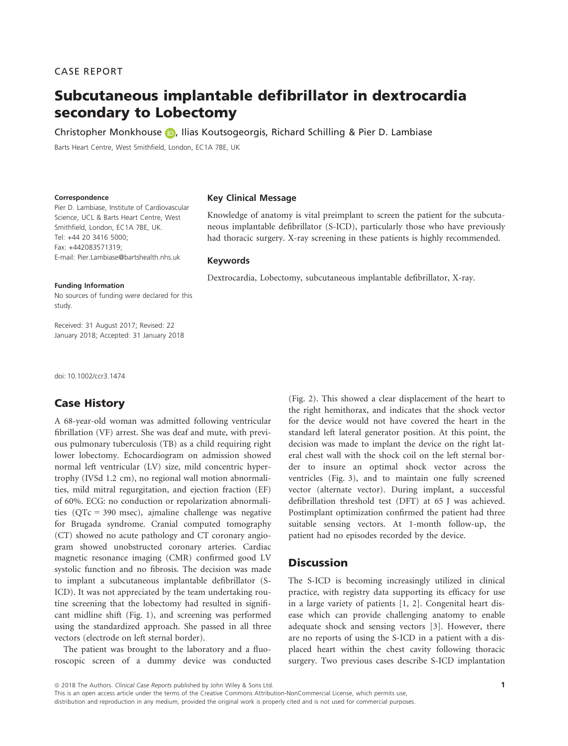# Subcutaneous implantable defibrillator in dextrocardia secondary to Lobectomy

Christopher Monkhouse (D. Ilias Koutsogeorgis, Richard Schilling & Pier D. Lambiase

Barts Heart Centre, West Smithfield, London, EC1A 7BE, UK

#### **Correspondence**

Pier D. Lambiase, Institute of Cardiovascular Science, UCL & Barts Heart Centre, West Smithfield, London, EC1A 7BE, UK. Tel: +44 20 3416 5000; Fax: +442083571319; E-mail: Pier.Lambiase@bartshealth.nhs.uk

### Key Clinical Message

Knowledge of anatomy is vital preimplant to screen the patient for the subcutaneous implantable defibrillator (S-ICD), particularly those who have previously had thoracic surgery. X-ray screening in these patients is highly recommended.

## Keywords

Dextrocardia, Lobectomy, subcutaneous implantable defibrillator, X-ray.

### Funding Information

No sources of funding were declared for this study.

Received: 31 August 2017; Revised: 22 January 2018; Accepted: 31 January 2018

doi: 10.1002/ccr3.1474

# Case History

A 68-year-old woman was admitted following ventricular fibrillation (VF) arrest. She was deaf and mute, with previous pulmonary tuberculosis (TB) as a child requiring right lower lobectomy. Echocardiogram on admission showed normal left ventricular (LV) size, mild concentric hypertrophy (IVSd 1.2 cm), no regional wall motion abnormalities, mild mitral regurgitation, and ejection fraction (EF) of 60%. ECG: no conduction or repolarization abnormalities (QTc = 390 msec), ajmaline challenge was negative for Brugada syndrome. Cranial computed tomography (CT) showed no acute pathology and CT coronary angiogram showed unobstructed coronary arteries. Cardiac magnetic resonance imaging (CMR) confirmed good LV systolic function and no fibrosis. The decision was made to implant a subcutaneous implantable defibrillator (S-ICD). It was not appreciated by the team undertaking routine screening that the lobectomy had resulted in significant midline shift (Fig. 1), and screening was performed using the standardized approach. She passed in all three vectors (electrode on left sternal border).

The patient was brought to the laboratory and a fluoroscopic screen of a dummy device was conducted (Fig. 2). This showed a clear displacement of the heart to the right hemithorax, and indicates that the shock vector for the device would not have covered the heart in the standard left lateral generator position. At this point, the decision was made to implant the device on the right lateral chest wall with the shock coil on the left sternal border to insure an optimal shock vector across the ventricles (Fig. 3), and to maintain one fully screened vector (alternate vector). During implant, a successful defibrillation threshold test (DFT) at 65 J was achieved. Postimplant optimization confirmed the patient had three suitable sensing vectors. At 1-month follow-up, the patient had no episodes recorded by the device.

## **Discussion**

The S-ICD is becoming increasingly utilized in clinical practice, with registry data supporting its efficacy for use in a large variety of patients [1, 2]. Congenital heart disease which can provide challenging anatomy to enable adequate shock and sensing vectors [3]. However, there are no reports of using the S-ICD in a patient with a displaced heart within the chest cavity following thoracic surgery. Two previous cases describe S-ICD implantation

ª 2018 The Authors. Clinical Case Reports published by John Wiley & Sons Ltd.

This is an open access article under the terms of the [Creative Commons Attribution-NonCommercial](http://creativecommons.org/licenses/by-nc/4.0/) License, which permits use, distribution and reproduction in any medium, provided the original work is properly cited and is not used for commercial purposes.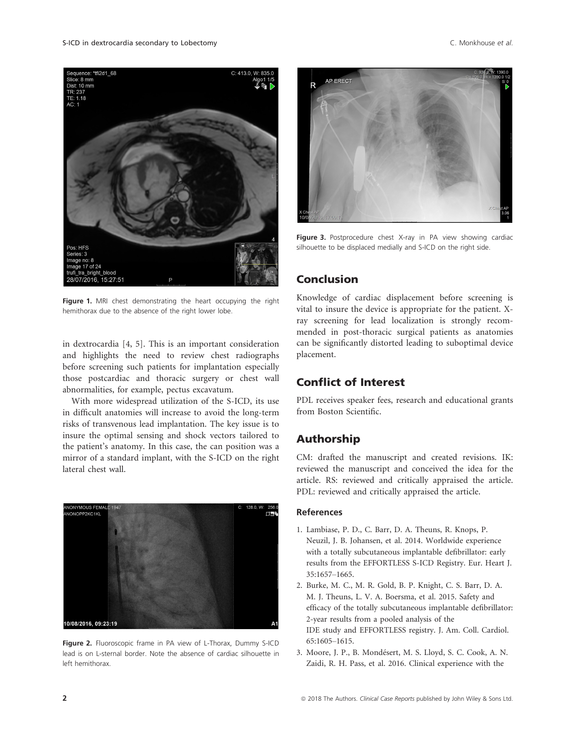

Figure 1. MRI chest demonstrating the heart occupying the right hemithorax due to the absence of the right lower lobe.

in dextrocardia [4, 5]. This is an important consideration and highlights the need to review chest radiographs before screening such patients for implantation especially those postcardiac and thoracic surgery or chest wall abnormalities, for example, pectus excavatum.

With more widespread utilization of the S-ICD, its use in difficult anatomies will increase to avoid the long-term risks of transvenous lead implantation. The key issue is to insure the optimal sensing and shock vectors tailored to the patient's anatomy. In this case, the can position was a mirror of a standard implant, with the S-ICD on the right lateral chest wall.



Figure 2. Fluoroscopic frame in PA view of L-Thorax, Dummy S-ICD lead is on L-sternal border. Note the absence of cardiac silhouette in left hemithorax.



Figure 3. Postprocedure chest X-ray in PA view showing cardiac silhouette to be displaced medially and S-ICD on the right side.

# Conclusion

Knowledge of cardiac displacement before screening is vital to insure the device is appropriate for the patient. Xray screening for lead localization is strongly recommended in post-thoracic surgical patients as anatomies can be significantly distorted leading to suboptimal device placement.

## Conflict of Interest

PDL receives speaker fees, research and educational grants from Boston Scientific.

# Authorship

CM: drafted the manuscript and created revisions. IK: reviewed the manuscript and conceived the idea for the article. RS: reviewed and critically appraised the article. PDL: reviewed and critically appraised the article.

## References

- 1. Lambiase, P. D., C. Barr, D. A. Theuns, R. Knops, P. Neuzil, J. B. Johansen, et al. 2014. Worldwide experience with a totally subcutaneous implantable defibrillator: early results from the EFFORTLESS S-ICD Registry. Eur. Heart J. 35:1657–1665.
- 2. Burke, M. C., M. R. Gold, B. P. Knight, C. S. Barr, D. A. M. J. Theuns, L. V. A. Boersma, et al. 2015. Safety and efficacy of the totally subcutaneous implantable defibrillator: 2-year results from a pooled analysis of the IDE study and EFFORTLESS registry. J. Am. Coll. Cardiol. 65:1605–1615.
- 3. Moore, J. P., B. Mondesert, M. S. Lloyd, S. C. Cook, A. N. Zaidi, R. H. Pass, et al. 2016. Clinical experience with the